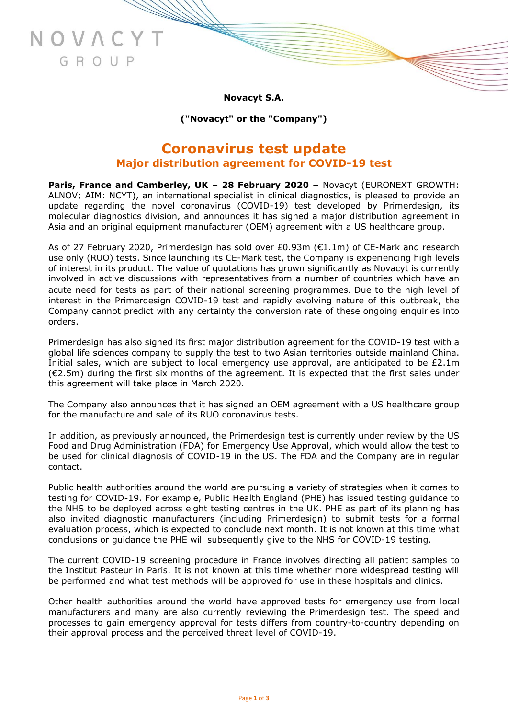**Novacyt S.A.**

JOVAC

GROUP

**("Novacyt" or the "Company")**

## **Coronavirus test update Major distribution agreement for COVID-19 test**

**Paris, France and Camberley, UK – 28 February 2020 –** Novacyt (EURONEXT GROWTH: ALNOV; AIM: NCYT), an international specialist in clinical diagnostics, is pleased to provide an update regarding the novel coronavirus (COVID-19) test developed by Primerdesign, its molecular diagnostics division, and announces it has signed a major distribution agreement in Asia and an original equipment manufacturer (OEM) agreement with a US healthcare group.

As of 27 February 2020, Primerdesign has sold over £0.93m (€1.1m) of CE-Mark and research use only (RUO) tests. Since launching its CE-Mark test, the Company is experiencing high levels of interest in its product. The value of quotations has grown significantly as Novacyt is currently involved in active discussions with representatives from a number of countries which have an acute need for tests as part of their national screening programmes. Due to the high level of interest in the Primerdesign COVID-19 test and rapidly evolving nature of this outbreak, the Company cannot predict with any certainty the conversion rate of these ongoing enquiries into orders.

Primerdesign has also signed its first major distribution agreement for the COVID-19 test with a global life sciences company to supply the test to two Asian territories outside mainland China. Initial sales, which are subject to local emergency use approval, are anticipated to be  $£2.1m$  $(\epsilon 2.5m)$  during the first six months of the agreement. It is expected that the first sales under this agreement will take place in March 2020.

The Company also announces that it has signed an OEM agreement with a US healthcare group for the manufacture and sale of its RUO coronavirus tests.

In addition, as previously announced, the Primerdesign test is currently under review by the US Food and Drug Administration (FDA) for Emergency Use Approval, which would allow the test to be used for clinical diagnosis of COVID-19 in the US. The FDA and the Company are in regular contact.

Public health authorities around the world are pursuing a variety of strategies when it comes to testing for COVID-19. For example, Public Health England (PHE) has issued testing guidance to the NHS to be deployed across eight testing centres in the UK. PHE as part of its planning has also invited diagnostic manufacturers (including Primerdesign) to submit tests for a formal evaluation process, which is expected to conclude next month. It is not known at this time what conclusions or guidance the PHE will subsequently give to the NHS for COVID-19 testing.

The current COVID-19 screening procedure in France involves directing all patient samples to the Institut Pasteur in Paris. It is not known at this time whether more widespread testing will be performed and what test methods will be approved for use in these hospitals and clinics.

Other health authorities around the world have approved tests for emergency use from local manufacturers and many are also currently reviewing the Primerdesign test. The speed and processes to gain emergency approval for tests differs from country-to-country depending on their approval process and the perceived threat level of COVID-19.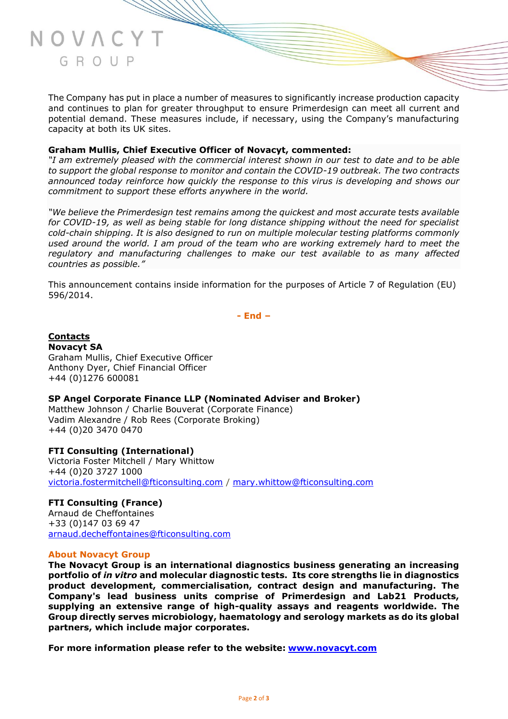The Company has put in place a number of measures to significantly increase production capacity and continues to plan for greater throughput to ensure Primerdesign can meet all current and potential demand. These measures include, if necessary, using the Company's manufacturing capacity at both its UK sites.

### **Graham Mullis, Chief Executive Officer of Novacyt, commented:**

*"I am extremely pleased with the commercial interest shown in our test to date and to be able to support the global response to monitor and contain the COVID-19 outbreak. The two contracts announced today reinforce how quickly the response to this virus is developing and shows our commitment to support these efforts anywhere in the world.*

*"We believe the Primerdesign test remains among the quickest and most accurate tests available for COVID-19, as well as being stable for long distance shipping without the need for specialist cold-chain shipping. It is also designed to run on multiple molecular testing platforms commonly used around the world. I am proud of the team who are working extremely hard to meet the regulatory and manufacturing challenges to make our test available to as many affected countries as possible."*

This announcement contains inside information for the purposes of Article 7 of Regulation (EU) 596/2014.

**- End –**

**Contacts Novacyt SA** Graham Mullis, Chief Executive Officer Anthony Dyer, Chief Financial Officer +44 (0)1276 600081

### **SP Angel Corporate Finance LLP (Nominated Adviser and Broker)**

Matthew Johnson / Charlie Bouverat (Corporate Finance) Vadim Alexandre / Rob Rees (Corporate Broking) +44 (0)20 3470 0470

**FTI Consulting (International)** Victoria Foster Mitchell / Mary Whittow +44 (0)20 3727 1000 [victoria.fostermitchell@fticonsulting.com](mailto:victoria.fostermitchell@fticonsulting.com) / [mary.whittow@fticonsulting.com](mailto:mary.whittow@fticonsulting.com)

**FTI Consulting (France)** Arnaud de Cheffontaines +33 (0)147 03 69 47 [arnaud.decheffontaines@fticonsulting.com](mailto:arnaud.decheffontaines@fticonsulting.com)

### **About Novacyt Group**

**The Novacyt Group is an international diagnostics business generating an increasing portfolio of** *in vitro* **and molecular diagnostic tests. Its core strengths lie in diagnostics product development, commercialisation, contract design and manufacturing. The Company's lead business units comprise of Primerdesign and Lab21 Products, supplying an extensive range of high-quality assays and reagents worldwide. The Group directly serves microbiology, haematology and serology markets as do its global partners, which include major corporates.**

**For more information please refer to the website: [www.novacyt.com](http://www.novacyt.com/)**